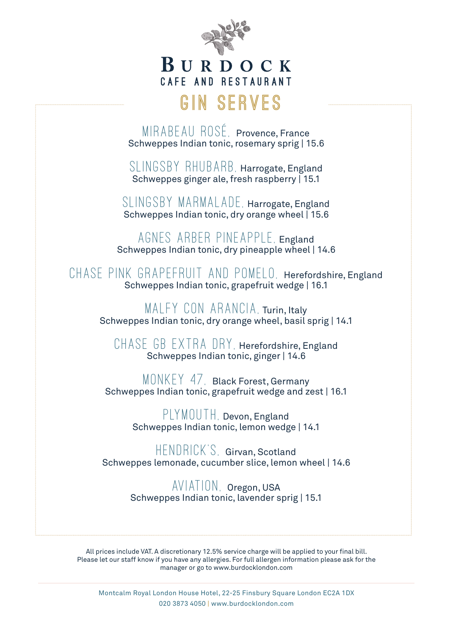

### BURDOCK CAFE AND RESTAURANT

## **Gin Serves**

MIRABEAU ROSÉ, Provence, France Schweppes Indian tonic, rosemary sprig | 15.6

SLINGSBY RHUBARB, Harrogate, England Schweppes ginger ale, fresh raspberry | 15.1

SLINGSBY MARMALADE, Harrogate, England Schweppes Indian tonic, dry orange wheel | 15.6

Agnes Arber Pineapple, England Schweppes Indian tonic, dry pineapple wheel | 14.6

Chase Pink Grapefruit and Pomelo, Herefordshire, England Schweppes Indian tonic, grapefruit wedge | 16.1

MAI FY CON ARANCIA, Turin, Italy Schweppes Indian tonic, dry orange wheel, basil sprig | 14.1

CHASE GB EXTRA DRY, Herefordshire, England Schweppes Indian tonic, ginger | 14.6

MONKEY 47, Black Forest, Germany Schweppes Indian tonic, grapefruit wedge and zest | 16.1

> PLYMOUTH, Devon, England Schweppes Indian tonic, lemon wedge | 14.1

HENDRICK'S, Girvan, Scotland Schweppes lemonade, cucumber slice, lemon wheel | 14.6

> Aviation, Oregon, USA Schweppes Indian tonic, lavender sprig | 15.1

All prices include VAT. A discretionary 12.5% service charge will be applied to your final bill. Please let our staff know if you have any allergies. For full allergen information please ask for the manager or go to www.burdocklondon.com

Montcalm Royal London House Hotel, 22-25 Finsbury Square London EC2A 1DX 020 3873 4050 | www.burdocklondon.com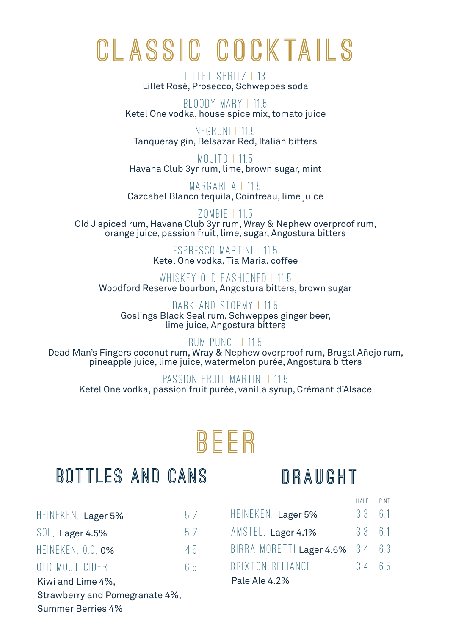# **c l as s i c c o c k ta i l s**

Lillet Spritz | 13 Lillet Rosé, Prosecco, Schweppes soda

Bloody Mary | 11.5 Ketel One vodka, house spice mix, tomato juice

Negroni | 11.5 Tanqueray gin, Belsazar Red, Italian bitters

Mojito | 11.5 Havana Club 3yr rum, lime, brown sugar, mint

MARGARITA | 11.5 Cazcabel Blanco tequila, Cointreau, lime juice

Zombie | 11.5 Old J spiced rum, Havana Club 3yr rum, Wray & Nephew overproof rum, orange juice, passion fruit, lime, sugar, Angostura bitters

> Espresso Martini | 11.5 Ketel One vodka, Tia Maria, coffee

WHISKEY OLD FASHIONED | 11.5 Woodford Reserve bourbon, Angostura bitters, brown sugar

DARK AND STORMY | 11.5 Goslings Black Seal rum, Schweppes ginger beer, lime juice, Angostura bitters

#### Rum Punch | 11.5

Dead Man's Fingers coconut rum, Wray & Nephew overproof rum, Brugal Añejo rum, pineapple juice, lime juice, watermelon purée, Angostura bitters

### PASSION FRIJIT MARTINI | 11.5

Ketel One vodka, passion fruit purée, vanilla syrup, Crémant d'Alsace

## **Beer**

## **Bottles and Cans**

| HEINEKEN, Lager 5%             | 57 |  |  |
|--------------------------------|----|--|--|
| SOL. Lager 4.5%                | 57 |  |  |
| HEINEKEN, 0.0. 0%              | 45 |  |  |
| OLD MOUT CIDER                 | 65 |  |  |
| Kiwi and Lime 4%,              |    |  |  |
| Strawberry and Pomegranate 4%, |    |  |  |
| <b>Summer Berries 4%</b>       |    |  |  |

## **draught**

half pint

| HEINEKEN, Lager 5%               | $3.3\quad 6.1$ |  |  |  |  |
|----------------------------------|----------------|--|--|--|--|
| AMSTEL, Lager 4.1%               | $3.3\quad 6.1$ |  |  |  |  |
| BIRRA MORETTI Lager 4.6% 3.4 6.3 |                |  |  |  |  |
| BRIXTON RELIANCE                 | 3465           |  |  |  |  |
| Pale Ale 4.2%                    |                |  |  |  |  |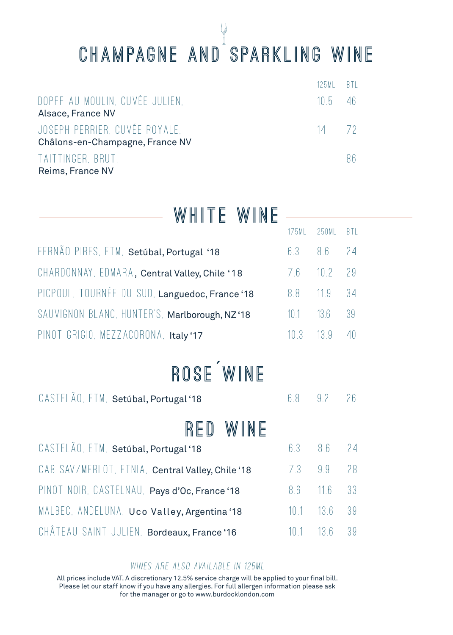## **Champagne and Sparkling wine**

|                                                                  | 125MI RTI  |  |
|------------------------------------------------------------------|------------|--|
| DOPFF AU MOULIN, CUVÉE JULIEN.<br>Alsace, France NV              | $105 - 46$ |  |
| JOSEPH PERRIER, CUVÉE ROYALE.<br>Châlons-en-Champagne, France NV | 14 72      |  |
| TAITTINGER, BRUT.<br>Reims, France NV                            |            |  |

| WHITE WINE                                        |       |       |            |
|---------------------------------------------------|-------|-------|------------|
|                                                   | 175ML | 250ML | <b>BTL</b> |
| FERNÃO PIRES, ETM, Setúbal, Portugal '18          | 6.3   | 8.6   | 24         |
| CHARDONNAY, EDMARA, Central Valley, Chile '18     | 7.6   | 10.2  | 29         |
| PICPOUL, TOURNÉE DU SUD, Languedoc, France '18    | 8.8   | 11.9  | 34         |
| SAUVIGNON BLANC, HUNTER'S, Marlborough, NZ'18     | 10.1  | 13.6  | 39         |
| PINOT GRIGIO, MEZZACORONA, Italy'17               | 10.3  | 13.9  | 40         |
| ROSE WINE<br>CASTELÃO, ETM. Setúbal, Portugal '18 | 6.8   | 9.2   | 26         |
| WINE<br>RFU                                       |       |       |            |
| CASTELÃO, ETM. Setúbal, Portugal '18              | 6.3   | 8.6   | 24         |
| CAB SAV/MERLOT, ETNIA, Central Valley, Chile'18   | 7.3   | 9.9   | 28         |
| PINOT NOIR, CASTELNAU, Pays d'Oc, France '18      | 8.6   | 11.6  | 33         |
| MALBEC, ANDELUNA, Uco Valley, Argentina'18        | 10.1  | 13.6  | 39         |
| CHÂTEAU SAINT JULIEN, Bordeaux, France '16        | 10.1  | 13.6  | 39         |
|                                                   |       |       |            |

### Wines are also available in 125ml

All prices include VAT. A discretionary 12.5% service charge will be applied to your final bill. Please let our staff know if you have any allergies. For full allergen information please ask for the manager or go to www.burdocklondon.com